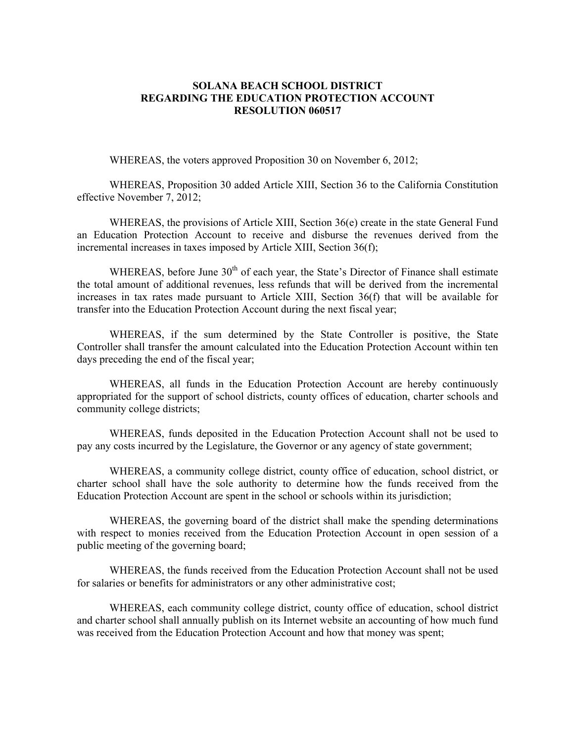## **SOLANA BEACH SCHOOL DISTRICT REGARDING THE EDUCATION PROTECTION ACCOUNT RESOLUTION 060517**

WHEREAS, the voters approved Proposition 30 on November 6, 2012;

 WHEREAS, Proposition 30 added Article XIII, Section 36 to the California Constitution effective November 7, 2012;

 WHEREAS, the provisions of Article XIII, Section 36(e) create in the state General Fund an Education Protection Account to receive and disburse the revenues derived from the incremental increases in taxes imposed by Article XIII, Section 36(f);

WHEREAS, before June  $30<sup>th</sup>$  of each year, the State's Director of Finance shall estimate the total amount of additional revenues, less refunds that will be derived from the incremental increases in tax rates made pursuant to Article XIII, Section 36(f) that will be available for transfer into the Education Protection Account during the next fiscal year;

 WHEREAS, if the sum determined by the State Controller is positive, the State Controller shall transfer the amount calculated into the Education Protection Account within ten days preceding the end of the fiscal year;

 WHEREAS, all funds in the Education Protection Account are hereby continuously appropriated for the support of school districts, county offices of education, charter schools and community college districts;

 WHEREAS, funds deposited in the Education Protection Account shall not be used to pay any costs incurred by the Legislature, the Governor or any agency of state government;

 WHEREAS, a community college district, county office of education, school district, or charter school shall have the sole authority to determine how the funds received from the Education Protection Account are spent in the school or schools within its jurisdiction;

 WHEREAS, the governing board of the district shall make the spending determinations with respect to monies received from the Education Protection Account in open session of a public meeting of the governing board;

 WHEREAS, the funds received from the Education Protection Account shall not be used for salaries or benefits for administrators or any other administrative cost;

 WHEREAS, each community college district, county office of education, school district and charter school shall annually publish on its Internet website an accounting of how much fund was received from the Education Protection Account and how that money was spent;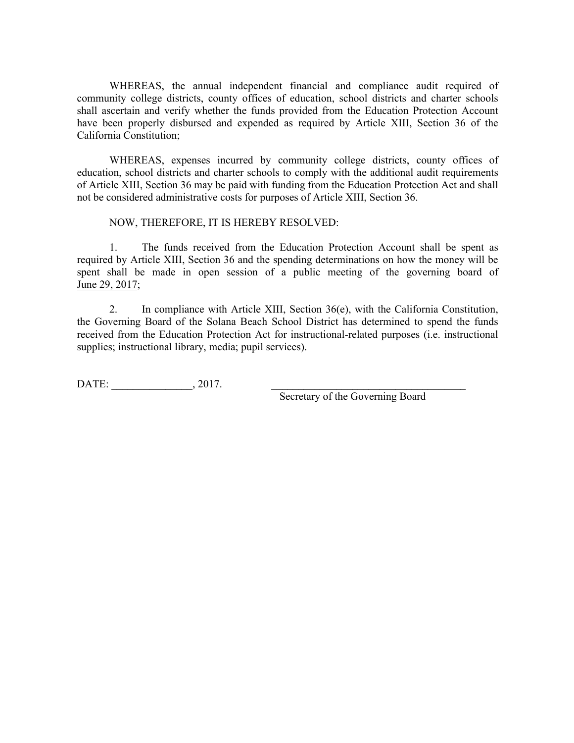WHEREAS, the annual independent financial and compliance audit required of community college districts, county offices of education, school districts and charter schools shall ascertain and verify whether the funds provided from the Education Protection Account have been properly disbursed and expended as required by Article XIII, Section 36 of the California Constitution;

 WHEREAS, expenses incurred by community college districts, county offices of education, school districts and charter schools to comply with the additional audit requirements of Article XIII, Section 36 may be paid with funding from the Education Protection Act and shall not be considered administrative costs for purposes of Article XIII, Section 36.

NOW, THEREFORE, IT IS HEREBY RESOLVED:

1. The funds received from the Education Protection Account shall be spent as required by Article XIII, Section 36 and the spending determinations on how the money will be spent shall be made in open session of a public meeting of the governing board of June 29, 2017;

2. In compliance with Article XIII, Section 36(e), with the California Constitution, the Governing Board of the Solana Beach School District has determined to spend the funds received from the Education Protection Act for instructional-related purposes (i.e. instructional supplies; instructional library, media; pupil services).

DATE:  $0.2017$ .

Secretary of the Governing Board